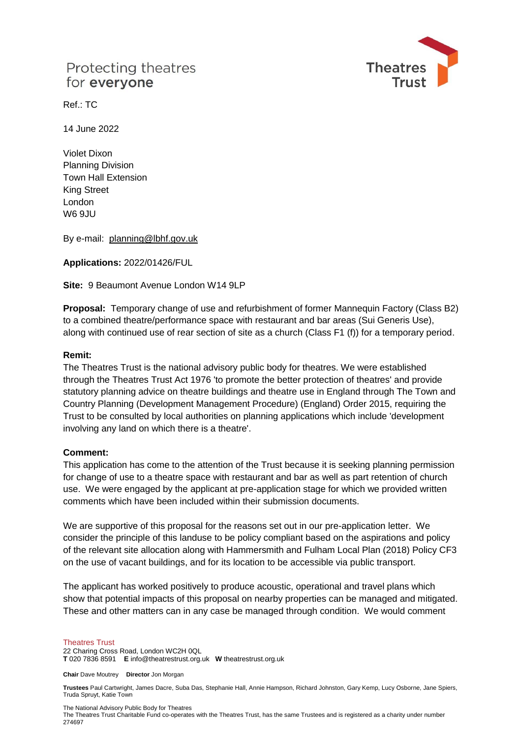# Protecting theatres for everyone



Ref.: TC

14 June 2022

Violet Dixon Planning Division Town Hall Extension King Street London W6 9JU

By e-mail: [planning@lbhf.gov.uk](mailto:planning@lbhf.gov.uk) 

**Applications:** 2022/01426/FUL

**Site:** 9 Beaumont Avenue London W14 9LP

**Proposal:** Temporary change of use and refurbishment of former Mannequin Factory (Class B2) to a combined theatre/performance space with restaurant and bar areas (Sui Generis Use), along with continued use of rear section of site as a church (Class F1 (f)) for a temporary period.

### **Remit:**

The Theatres Trust is the national advisory public body for theatres. We were established through the Theatres Trust Act 1976 'to promote the better protection of theatres' and provide statutory planning advice on theatre buildings and theatre use in England through The Town and Country Planning (Development Management Procedure) (England) Order 2015, requiring the Trust to be consulted by local authorities on planning applications which include 'development involving any land on which there is a theatre'.

### **Comment:**

This application has come to the attention of the Trust because it is seeking planning permission for change of use to a theatre space with restaurant and bar as well as part retention of church use. We were engaged by the applicant at pre-application stage for which we provided written comments which have been included within their submission documents.

We are supportive of this proposal for the reasons set out in our pre-application letter. We consider the principle of this landuse to be policy compliant based on the aspirations and policy of the relevant site allocation along with Hammersmith and Fulham Local Plan (2018) Policy CF3 on the use of vacant buildings, and for its location to be accessible via public transport.

The applicant has worked positively to produce acoustic, operational and travel plans which show that potential impacts of this proposal on nearby properties can be managed and mitigated. These and other matters can in any case be managed through condition. We would comment

#### Theatres Trust

22 Charing Cross Road, London WC2H 0QL **T** 020 7836 8591 **E** info@theatrestrust.org.uk **W** theatrestrust.org.uk

**Chair** Dave Moutrey **Director** Jon Morgan

**Trustees** Paul Cartwright, James Dacre, Suba Das, Stephanie Hall, Annie Hampson, Richard Johnston, Gary Kemp, Lucy Osborne, Jane Spiers, Truda Spruyt, Katie Town

The National Advisory Public Body for Theatres

The Theatres Trust Charitable Fund co-operates with the Theatres Trust, has the same Trustees and is registered as a charity under number 274697